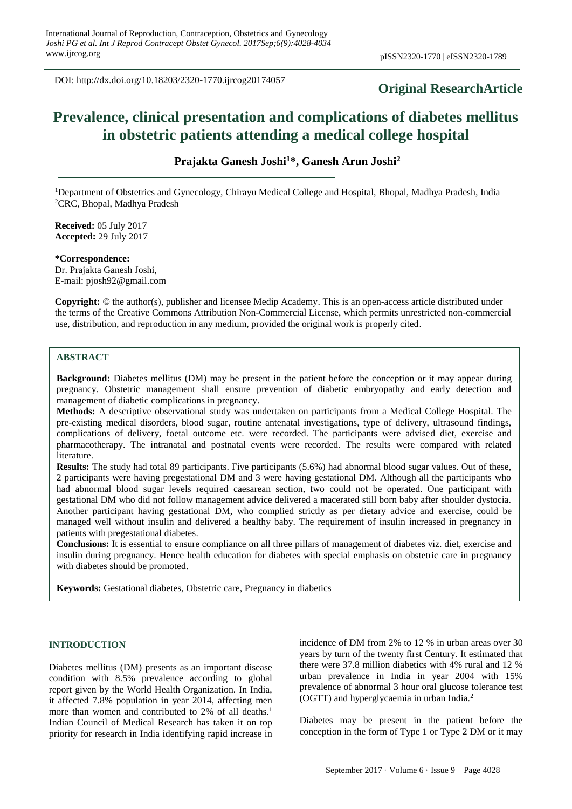DOI: http://dx.doi.org/10.18203/2320-1770.ijrcog20174057

## **Original ResearchArticle**

# **Prevalence, clinical presentation and complications of diabetes mellitus in obstetric patients attending a medical college hospital**

**Prajakta Ganesh Joshi<sup>1</sup>\*, Ganesh Arun Joshi<sup>2</sup>**

<sup>1</sup>Department of Obstetrics and Gynecology, Chirayu Medical College and Hospital, Bhopal, Madhya Pradesh, India <sup>2</sup>CRC, Bhopal, Madhya Pradesh

**Received:** 05 July 2017 **Accepted:** 29 July 2017

**\*Correspondence:** Dr. Prajakta Ganesh Joshi, E-mail: pjosh92@gmail.com

**Copyright:** © the author(s), publisher and licensee Medip Academy. This is an open-access article distributed under the terms of the Creative Commons Attribution Non-Commercial License, which permits unrestricted non-commercial use, distribution, and reproduction in any medium, provided the original work is properly cited.

## **ABSTRACT**

**Background:** Diabetes mellitus (DM) may be present in the patient before the conception or it may appear during pregnancy. Obstetric management shall ensure prevention of diabetic embryopathy and early detection and management of diabetic complications in pregnancy.

**Methods:** A descriptive observational study was undertaken on participants from a Medical College Hospital. The pre-existing medical disorders, blood sugar, routine antenatal investigations, type of delivery, ultrasound findings, complications of delivery, foetal outcome etc. were recorded. The participants were advised diet, exercise and pharmacotherapy. The intranatal and postnatal events were recorded. The results were compared with related literature.

**Results:** The study had total 89 participants. Five participants (5.6%) had abnormal blood sugar values. Out of these, 2 participants were having pregestational DM and 3 were having gestational DM. Although all the participants who had abnormal blood sugar levels required caesarean section, two could not be operated. One participant with gestational DM who did not follow management advice delivered a macerated still born baby after shoulder dystocia. Another participant having gestational DM, who complied strictly as per dietary advice and exercise, could be managed well without insulin and delivered a healthy baby. The requirement of insulin increased in pregnancy in patients with pregestational diabetes.

**Conclusions:** It is essential to ensure compliance on all three pillars of management of diabetes viz. diet, exercise and insulin during pregnancy. Hence health education for diabetes with special emphasis on obstetric care in pregnancy with diabetes should be promoted.

**Keywords:** Gestational diabetes, Obstetric care, Pregnancy in diabetics

## **INTRODUCTION**

Diabetes mellitus (DM) presents as an important disease condition with 8.5% prevalence according to global report given by the World Health Organization. In India, it affected 7.8% population in year 2014, affecting men more than women and contributed to 2% of all deaths.<sup>1</sup> Indian Council of Medical Research has taken it on top priority for research in India identifying rapid increase in incidence of DM from 2% to 12 % in urban areas over 30 years by turn of the twenty first Century. It estimated that there were 37.8 million diabetics with 4% rural and 12 % urban prevalence in India in year 2004 with 15% prevalence of abnormal 3 hour oral glucose tolerance test (OGTT) and hyperglycaemia in urban India.<sup>2</sup>

Diabetes may be present in the patient before the conception in the form of Type 1 or Type 2 DM or it may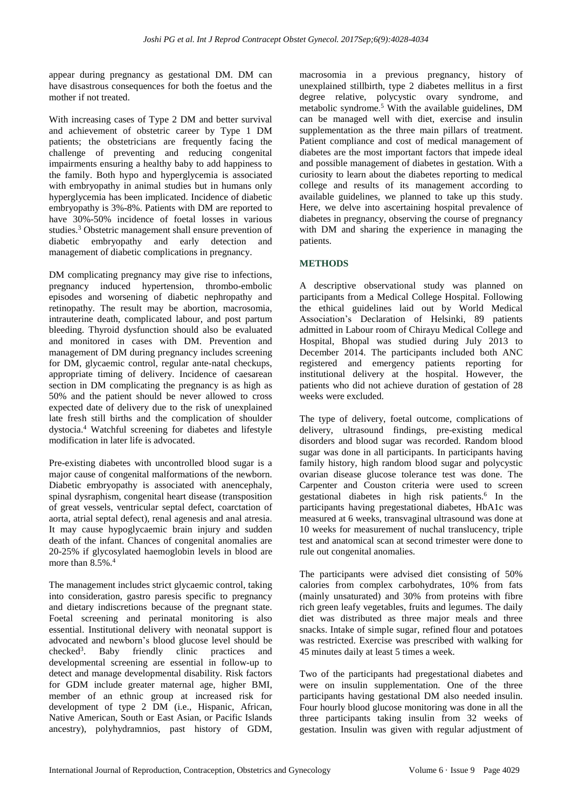appear during pregnancy as gestational DM. DM can have disastrous consequences for both the foetus and the mother if not treated.

With increasing cases of Type 2 DM and better survival and achievement of obstetric career by Type 1 DM patients; the obstetricians are frequently facing the challenge of preventing and reducing congenital impairments ensuring a healthy baby to add happiness to the family. Both hypo and hyperglycemia is associated with embryopathy in animal studies but in humans only hyperglycemia has been implicated. Incidence of diabetic embryopathy is 3%-8%. Patients with DM are reported to have 30%-50% incidence of foetal losses in various studies.<sup>3</sup> Obstetric management shall ensure prevention of diabetic embryopathy and early detection and management of diabetic complications in pregnancy.

DM complicating pregnancy may give rise to infections, pregnancy induced hypertension, thrombo-embolic episodes and worsening of diabetic nephropathy and retinopathy. The result may be abortion, macrosomia, intrauterine death, complicated labour, and post partum bleeding. Thyroid dysfunction should also be evaluated and monitored in cases with DM. Prevention and management of DM during pregnancy includes screening for DM, glycaemic control, regular ante-natal checkups, appropriate timing of delivery. Incidence of caesarean section in DM complicating the pregnancy is as high as 50% and the patient should be never allowed to cross expected date of delivery due to the risk of unexplained late fresh still births and the complication of shoulder dystocia. <sup>4</sup> Watchful screening for diabetes and lifestyle modification in later life is advocated.

Pre-existing diabetes with uncontrolled blood sugar is a major cause of congenital malformations of the newborn. Diabetic embryopathy is associated with anencephaly, spinal dysraphism, congenital heart disease (transposition of great vessels, ventricular septal defect, coarctation of aorta, atrial septal defect), renal agenesis and anal atresia. It may cause hypoglycaemic brain injury and sudden death of the infant. Chances of congenital anomalies are 20-25% if glycosylated haemoglobin levels in blood are more than  $8.5\%$ .<sup>4</sup>

The management includes strict glycaemic control, taking into consideration, gastro paresis specific to pregnancy and dietary indiscretions because of the pregnant state. Foetal screening and perinatal monitoring is also essential. Institutional delivery with neonatal support is advocated and newborn's blood glucose level should be  $checked<sup>3</sup>$ . . Baby friendly clinic practices and developmental screening are essential in follow-up to detect and manage developmental disability. Risk factors for GDM include greater maternal age, higher BMI, member of an ethnic group at increased risk for development of type 2 DM (i.e., Hispanic, African, Native American, South or East Asian, or Pacific Islands ancestry), polyhydramnios, past history of GDM, macrosomia in a previous pregnancy, history of unexplained stillbirth, type 2 diabetes mellitus in a first degree relative, polycystic ovary syndrome, and metabolic syndrome.<sup>5</sup> With the available guidelines, DM can be managed well with diet, exercise and insulin supplementation as the three main pillars of treatment. Patient compliance and cost of medical management of diabetes are the most important factors that impede ideal and possible management of diabetes in gestation. With a curiosity to learn about the diabetes reporting to medical college and results of its management according to available guidelines, we planned to take up this study. Here, we delve into ascertaining hospital prevalence of diabetes in pregnancy, observing the course of pregnancy with DM and sharing the experience in managing the patients.

## **METHODS**

A descriptive observational study was planned on participants from a Medical College Hospital. Following the ethical guidelines laid out by World Medical Association's Declaration of Helsinki, 89 patients admitted in Labour room of Chirayu Medical College and Hospital, Bhopal was studied during July 2013 to December 2014. The participants included both ANC registered and emergency patients reporting for institutional delivery at the hospital. However, the patients who did not achieve duration of gestation of 28 weeks were excluded.

The type of delivery, foetal outcome, complications of delivery, ultrasound findings, pre-existing medical disorders and blood sugar was recorded. Random blood sugar was done in all participants. In participants having family history, high random blood sugar and polycystic ovarian disease glucose tolerance test was done. The Carpenter and Couston criteria were used to screen gestational diabetes in high risk patients.<sup>6</sup> In the participants having pregestational diabetes, HbA1c was measured at 6 weeks, transvaginal ultrasound was done at 10 weeks for measurement of nuchal translucency, triple test and anatomical scan at second trimester were done to rule out congenital anomalies.

The participants were advised diet consisting of 50% calories from complex carbohydrates, 10% from fats (mainly unsaturated) and 30% from proteins with fibre rich green leafy vegetables, fruits and legumes. The daily diet was distributed as three major meals and three snacks. Intake of simple sugar, refined flour and potatoes was restricted. Exercise was prescribed with walking for 45 minutes daily at least 5 times a week.

Two of the participants had pregestational diabetes and were on insulin supplementation. One of the three participants having gestational DM also needed insulin. Four hourly blood glucose monitoring was done in all the three participants taking insulin from 32 weeks of gestation. Insulin was given with regular adjustment of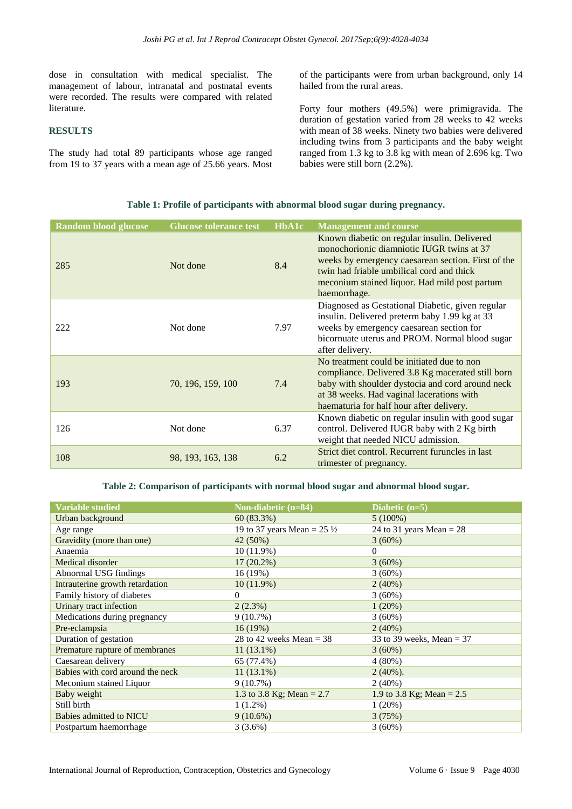dose in consultation with medical specialist. The management of labour, intranatal and postnatal events were recorded. The results were compared with related literature.

#### **RESULTS**

The study had total 89 participants whose age ranged from 19 to 37 years with a mean age of 25.66 years. Most of the participants were from urban background, only 14 hailed from the rural areas.

Forty four mothers (49.5%) were primigravida. The duration of gestation varied from 28 weeks to 42 weeks with mean of 38 weeks. Ninety two babies were delivered including twins from 3 participants and the baby weight ranged from 1.3 kg to 3.8 kg with mean of 2.696 kg. Two babies were still born (2.2%).

#### **Table 1: Profile of participants with abnormal blood sugar during pregnancy.**

| <b>Random blood glucose</b> | <b>Glucose tolerance test</b> | HbA1c | <b>Management and course</b>                                                                                                                                                                                                                                  |
|-----------------------------|-------------------------------|-------|---------------------------------------------------------------------------------------------------------------------------------------------------------------------------------------------------------------------------------------------------------------|
| 285                         | Not done                      | 8.4   | Known diabetic on regular insulin. Delivered<br>monochorionic diamniotic IUGR twins at 37<br>weeks by emergency caesarean section. First of the<br>twin had friable umbilical cord and thick<br>meconium stained liquor. Had mild post partum<br>haemorrhage. |
| 222                         | Not done                      | 7.97  | Diagnosed as Gestational Diabetic, given regular<br>insulin. Delivered preterm baby 1.99 kg at 33<br>weeks by emergency caesarean section for<br>bicornuate uterus and PROM. Normal blood sugar<br>after delivery.                                            |
| 193                         | 70, 196, 159, 100             | 7.4   | No treatment could be initiated due to non<br>compliance. Delivered 3.8 Kg macerated still born<br>baby with shoulder dystocia and cord around neck<br>at 38 weeks. Had vaginal lacerations with<br>haematuria for half hour after delivery.                  |
| 126                         | Not done                      | 6.37  | Known diabetic on regular insulin with good sugar<br>control. Delivered IUGR baby with 2 Kg birth<br>weight that needed NICU admission.                                                                                                                       |
| 108                         | 98, 193, 163, 138             | 6.2   | Strict diet control. Recurrent furuncles in last<br>trimester of pregnancy.                                                                                                                                                                                   |

**Table 2: Comparison of participants with normal blood sugar and abnormal blood sugar.**

| <b>Variable studied</b>          | Non-diabetic $(n=84)$                 | Diabetic $(n=5)$            |
|----------------------------------|---------------------------------------|-----------------------------|
| Urban background                 | 60(83.3%)                             | $5(100\%)$                  |
| Age range                        | 19 to 37 years Mean = $25\frac{1}{2}$ | 24 to 31 years Mean = $28$  |
| Gravidity (more than one)        | 42 (50%)                              | $3(60\%)$                   |
| Anaemia                          | $10(11.9\%)$                          | $\Omega$                    |
| Medical disorder                 | $17(20.2\%)$                          | $3(60\%)$                   |
| Abnormal USG findings            | 16(19%)                               | $3(60\%)$                   |
| Intrauterine growth retardation  | $10(11.9\%)$                          | $2(40\%)$                   |
| Family history of diabetes       | $\Omega$                              | $3(60\%)$                   |
| Urinary tract infection          | $2(2.3\%)$                            | 1(20%)                      |
| Medications during pregnancy     | $9(10.7\%)$                           | $3(60\%)$                   |
| Pre-eclampsia                    | 16(19%)                               | 2(40%)                      |
| Duration of gestation            | 28 to 42 weeks Mean $=$ 38            | 33 to 39 weeks, Mean = $37$ |
| Premature rupture of membranes   | $11(13.1\%)$                          | $3(60\%)$                   |
| Caesarean delivery               | 65 (77.4%)                            | $4(80\%)$                   |
| Babies with cord around the neck | $11(13.1\%)$                          | $2(40\%).$                  |
| Meconium stained Liquor          | 9(10.7%)                              | $2(40\%)$                   |
| Baby weight                      | 1.3 to 3.8 Kg; Mean = $2.7$           | 1.9 to 3.8 Kg; Mean = $2.5$ |
| Still birth                      | $1(1.2\%)$                            | 1(20%)                      |
| Babies admitted to NICU          | $9(10.6\%)$                           | 3(75%)                      |
| Postpartum haemorrhage           | $3(3.6\%)$                            | $3(60\%)$                   |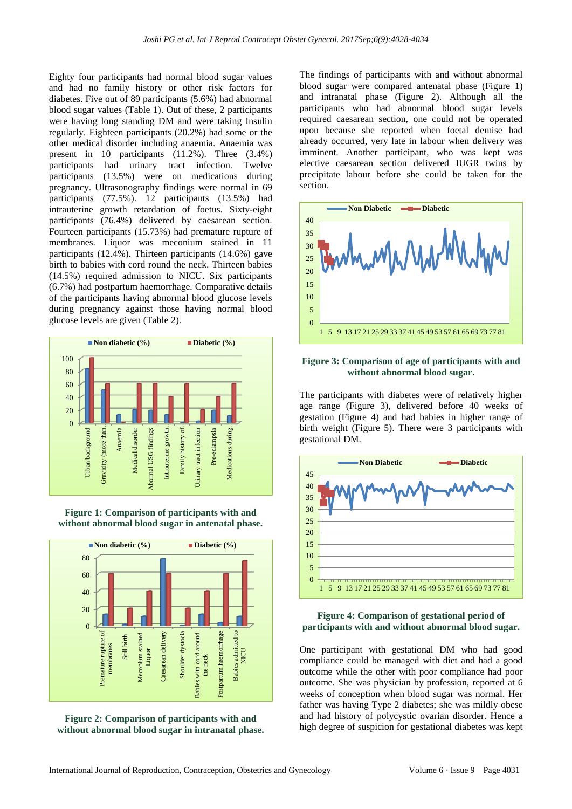Eighty four participants had normal blood sugar values and had no family history or other risk factors for diabetes. Five out of 89 participants (5.6%) had abnormal blood sugar values (Table 1). Out of these, 2 participants were having long standing DM and were taking Insulin regularly. Eighteen participants (20.2%) had some or the other medical disorder including anaemia. Anaemia was present in 10 participants (11.2%). Three (3.4%) participants had urinary tract infection. Twelve participants (13.5%) were on medications during pregnancy. Ultrasonography findings were normal in 69 participants (77.5%). 12 participants (13.5%) had intrauterine growth retardation of foetus. Sixty-eight participants (76.4%) delivered by caesarean section. Fourteen participants (15.73%) had premature rupture of membranes. Liquor was meconium stained in 11 participants (12.4%). Thirteen participants (14.6%) gave birth to babies with cord round the neck. Thirteen babies (14.5%) required admission to NICU. Six participants (6.7%) had postpartum haemorrhage. Comparative details of the participants having abnormal blood glucose levels during pregnancy against those having normal blood glucose levels are given (Table 2).



**Figure 1: Comparison of participants with and without abnormal blood sugar in antenatal phase.**



**Figure 2: Comparison of participants with and without abnormal blood sugar in intranatal phase.** The findings of participants with and without abnormal blood sugar were compared antenatal phase (Figure 1) and intranatal phase (Figure 2). Although all the participants who had abnormal blood sugar levels required caesarean section, one could not be operated upon because she reported when foetal demise had already occurred, very late in labour when delivery was imminent. Another participant, who was kept was elective caesarean section delivered IUGR twins by precipitate labour before she could be taken for the section.



#### **Figure 3: Comparison of age of participants with and without abnormal blood sugar.**

The participants with diabetes were of relatively higher age range (Figure 3), delivered before 40 weeks of gestation (Figure 4) and had babies in higher range of birth weight (Figure 5). There were 3 participants with gestational DM.



### **Figure 4: Comparison of gestational period of participants with and without abnormal blood sugar.**

One participant with gestational DM who had good compliance could be managed with diet and had a good outcome while the other with poor compliance had poor outcome. She was physician by profession, reported at 6 weeks of conception when blood sugar was normal. Her father was having Type 2 diabetes; she was mildly obese and had history of polycystic ovarian disorder. Hence a high degree of suspicion for gestational diabetes was kept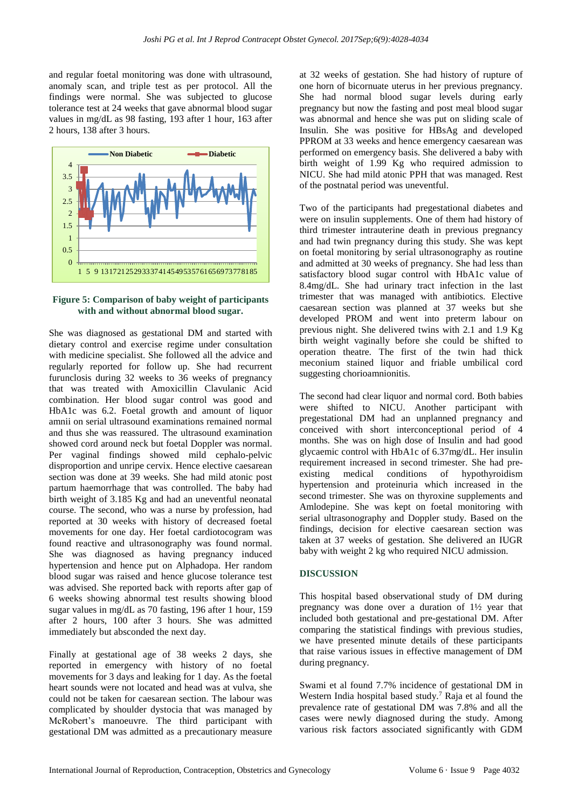and regular foetal monitoring was done with ultrasound, anomaly scan, and triple test as per protocol. All the findings were normal. She was subjected to glucose tolerance test at 24 weeks that gave abnormal blood sugar values in mg/dL as 98 fasting, 193 after 1 hour, 163 after 2 hours, 138 after 3 hours.



**Figure 5: Comparison of baby weight of participants with and without abnormal blood sugar.**

She was diagnosed as gestational DM and started with dietary control and exercise regime under consultation with medicine specialist. She followed all the advice and regularly reported for follow up. She had recurrent furunclosis during 32 weeks to 36 weeks of pregnancy that was treated with Amoxicillin Clavulanic Acid combination. Her blood sugar control was good and HbA1c was 6.2. Foetal growth and amount of liquor amnii on serial ultrasound examinations remained normal and thus she was reassured. The ultrasound examination showed cord around neck but foetal Doppler was normal. Per vaginal findings showed mild cephalo-pelvic disproportion and unripe cervix. Hence elective caesarean section was done at 39 weeks. She had mild atonic post partum haemorrhage that was controlled. The baby had birth weight of 3.185 Kg and had an uneventful neonatal course. The second, who was a nurse by profession, had reported at 30 weeks with history of decreased foetal movements for one day. Her foetal cardiotocogram was found reactive and ultrasonography was found normal. She was diagnosed as having pregnancy induced hypertension and hence put on Alphadopa. Her random blood sugar was raised and hence glucose tolerance test was advised. She reported back with reports after gap of 6 weeks showing abnormal test results showing blood sugar values in mg/dL as 70 fasting, 196 after 1 hour, 159 after 2 hours, 100 after 3 hours. She was admitted immediately but absconded the next day.

Finally at gestational age of 38 weeks 2 days, she reported in emergency with history of no foetal movements for 3 days and leaking for 1 day. As the foetal heart sounds were not located and head was at vulva, she could not be taken for caesarean section. The labour was complicated by shoulder dystocia that was managed by McRobert's manoeuvre. The third participant with gestational DM was admitted as a precautionary measure at 32 weeks of gestation. She had history of rupture of one horn of bicornuate uterus in her previous pregnancy. She had normal blood sugar levels during early pregnancy but now the fasting and post meal blood sugar was abnormal and hence she was put on sliding scale of Insulin. She was positive for HBsAg and developed PPROM at 33 weeks and hence emergency caesarean was performed on emergency basis. She delivered a baby with birth weight of 1.99 Kg who required admission to NICU. She had mild atonic PPH that was managed. Rest of the postnatal period was uneventful.

Two of the participants had pregestational diabetes and were on insulin supplements. One of them had history of third trimester intrauterine death in previous pregnancy and had twin pregnancy during this study. She was kept on foetal monitoring by serial ultrasonography as routine and admitted at 30 weeks of pregnancy. She had less than satisfactory blood sugar control with HbA1c value of 8.4mg/dL. She had urinary tract infection in the last trimester that was managed with antibiotics. Elective caesarean section was planned at 37 weeks but she developed PROM and went into preterm labour on previous night. She delivered twins with 2.1 and 1.9 Kg birth weight vaginally before she could be shifted to operation theatre. The first of the twin had thick meconium stained liquor and friable umbilical cord suggesting chorioamnionitis.

The second had clear liquor and normal cord. Both babies were shifted to NICU. Another participant with pregestational DM had an unplanned pregnancy and conceived with short interconceptional period of 4 months. She was on high dose of Insulin and had good glycaemic control with HbA1c of 6.37mg/dL. Her insulin requirement increased in second trimester. She had preexisting medical conditions of hypothyroidism hypertension and proteinuria which increased in the second trimester. She was on thyroxine supplements and Amlodepine. She was kept on foetal monitoring with serial ultrasonography and Doppler study. Based on the findings, decision for elective caesarean section was taken at 37 weeks of gestation. She delivered an IUGR baby with weight 2 kg who required NICU admission.

## **DISCUSSION**

This hospital based observational study of DM during pregnancy was done over a duration of 1½ year that included both gestational and pre-gestational DM. After comparing the statistical findings with previous studies, we have presented minute details of these participants that raise various issues in effective management of DM during pregnancy.

Swami et al found 7.7% incidence of gestational DM in Western India hospital based study. <sup>7</sup> Raja et al found the prevalence rate of gestational DM was 7.8% and all the cases were newly diagnosed during the study. Among various risk factors associated significantly with GDM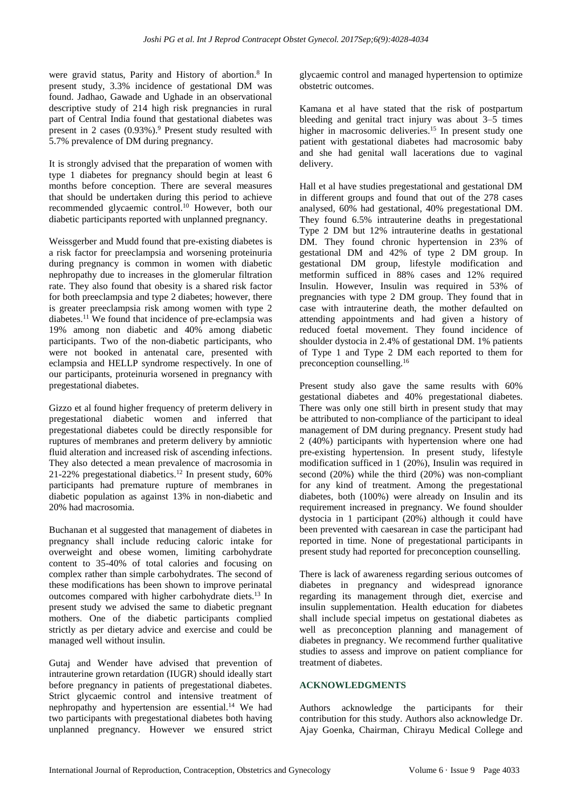were gravid status, Parity and History of abortion.<sup>8</sup> In present study, 3.3% incidence of gestational DM was found. Jadhao, Gawade and Ughade in an observational descriptive study of 214 high risk pregnancies in rural part of Central India found that gestational diabetes was present in 2 cases (0.93%). <sup>9</sup> Present study resulted with 5.7% prevalence of DM during pregnancy.

It is strongly advised that the preparation of women with type 1 diabetes for pregnancy should begin at least 6 months before conception. There are several measures that should be undertaken during this period to achieve recommended glycaemic control. <sup>10</sup> However, both our diabetic participants reported with unplanned pregnancy.

Weissgerber and Mudd found that pre-existing diabetes is a risk factor for preeclampsia and worsening proteinuria during pregnancy is common in women with diabetic nephropathy due to increases in the glomerular filtration rate. They also found that obesity is a shared risk factor for both preeclampsia and type 2 diabetes; however, there is greater preeclampsia risk among women with type 2 diabetes. <sup>11</sup> We found that incidence of pre-eclampsia was 19% among non diabetic and 40% among diabetic participants. Two of the non-diabetic participants, who were not booked in antenatal care, presented with eclampsia and HELLP syndrome respectively. In one of our participants, proteinuria worsened in pregnancy with pregestational diabetes.

Gizzo et al found higher frequency of preterm delivery in pregestational diabetic women and inferred that pregestational diabetes could be directly responsible for ruptures of membranes and preterm delivery by amniotic fluid alteration and increased risk of ascending infections. They also detected a mean prevalence of macrosomia in 21-22% pregestational diabetics. <sup>12</sup> In present study, 60% participants had premature rupture of membranes in diabetic population as against 13% in non-diabetic and 20% had macrosomia.

Buchanan et al suggested that management of diabetes in pregnancy shall include reducing caloric intake for overweight and obese women, limiting carbohydrate content to 35-40% of total calories and focusing on complex rather than simple carbohydrates. The second of these modifications has been shown to improve perinatal outcomes compared with higher carbohydrate diets. <sup>13</sup> In present study we advised the same to diabetic pregnant mothers. One of the diabetic participants complied strictly as per dietary advice and exercise and could be managed well without insulin.

Gutaj and Wender have advised that prevention of intrauterine grown retardation (IUGR) should ideally start before pregnancy in patients of pregestational diabetes. Strict glycaemic control and intensive treatment of nephropathy and hypertension are essential. <sup>14</sup> We had two participants with pregestational diabetes both having unplanned pregnancy. However we ensured strict glycaemic control and managed hypertension to optimize obstetric outcomes.

Kamana et al have stated that the risk of postpartum bleeding and genital tract injury was about 3–5 times higher in macrosomic deliveries.<sup>15</sup> In present study one patient with gestational diabetes had macrosomic baby and she had genital wall lacerations due to vaginal delivery.

Hall et al have studies pregestational and gestational DM in different groups and found that out of the 278 cases analysed, 60% had gestational, 40% pregestational DM. They found 6.5% intrauterine deaths in pregestational Type 2 DM but 12% intrauterine deaths in gestational DM. They found chronic hypertension in 23% of gestational DM and 42% of type 2 DM group. In gestational DM group, lifestyle modification and metformin sufficed in 88% cases and 12% required Insulin. However, Insulin was required in 53% of pregnancies with type 2 DM group. They found that in case with intrauterine death, the mother defaulted on attending appointments and had given a history of reduced foetal movement. They found incidence of shoulder dystocia in 2.4% of gestational DM. 1% patients of Type 1 and Type 2 DM each reported to them for preconception counselling.<sup>16</sup>

Present study also gave the same results with  $60\%$ gestational diabetes and 40% pregestational diabetes. There was only one still birth in present study that may be attributed to non-compliance of the participant to ideal management of DM during pregnancy. Present study had 2 (40%) participants with hypertension where one had pre-existing hypertension. In present study, lifestyle modification sufficed in 1 (20%), Insulin was required in second (20%) while the third (20%) was non-compliant for any kind of treatment. Among the pregestational diabetes, both (100%) were already on Insulin and its requirement increased in pregnancy. We found shoulder dystocia in 1 participant (20%) although it could have been prevented with caesarean in case the participant had reported in time. None of pregestational participants in present study had reported for preconception counselling.

There is lack of awareness regarding serious outcomes of diabetes in pregnancy and widespread ignorance regarding its management through diet, exercise and insulin supplementation. Health education for diabetes shall include special impetus on gestational diabetes as well as preconception planning and management of diabetes in pregnancy. We recommend further qualitative studies to assess and improve on patient compliance for treatment of diabetes.

## **ACKNOWLEDGMENTS**

Authors acknowledge the participants for their contribution for this study. Authors also acknowledge Dr. Ajay Goenka, Chairman, Chirayu Medical College and